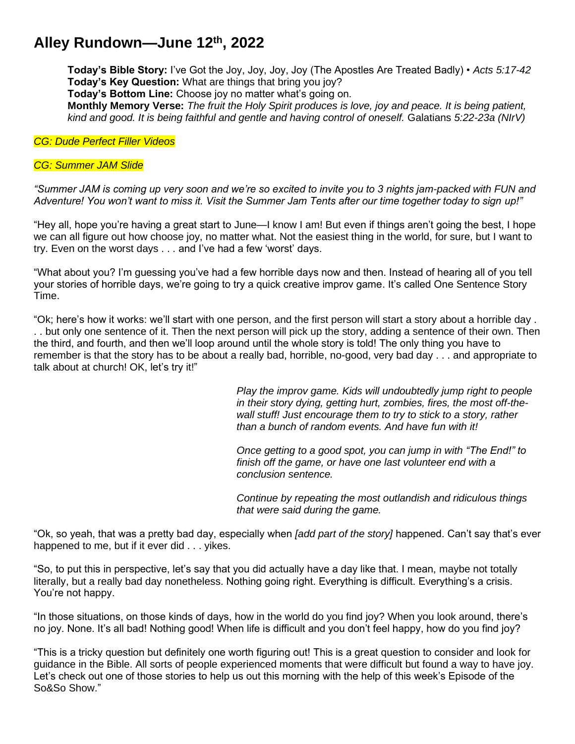# **Alley Rundown—June 12th , 2022**

**Today's Bible Story:** I've Got the Joy, Joy, Joy, Joy (The Apostles Are Treated Badly) • *Acts 5:17-42* **Today's Key Question:** What are things that bring you joy?

**Today's Bottom Line:** Choose joy no matter what's going on.

**Monthly Memory Verse:** *The fruit the Holy Spirit produces is love, joy and peace. It is being patient, kind and good. It is being faithful and gentle and having control of oneself.* Galatians *5:22-23a (NIrV)*

*CG: Dude Perfect Filler Videos*

#### *CG: Summer JAM Slide*

*"Summer JAM is coming up very soon and we're so excited to invite you to 3 nights jam-packed with FUN and Adventure! You won't want to miss it. Visit the Summer Jam Tents after our time together today to sign up!"*

"Hey all, hope you're having a great start to June—I know I am! But even if things aren't going the best, I hope we can all figure out how choose joy, no matter what. Not the easiest thing in the world, for sure, but I want to try. Even on the worst days . . . and I've had a few 'worst' days.

"What about you? I'm guessing you've had a few horrible days now and then. Instead of hearing all of you tell your stories of horrible days, we're going to try a quick creative improv game. It's called One Sentence Story Time.

"Ok; here's how it works: we'll start with one person, and the first person will start a story about a horrible day . . . but only one sentence of it. Then the next person will pick up the story, adding a sentence of their own. Then the third, and fourth, and then we'll loop around until the whole story is told! The only thing you have to remember is that the story has to be about a really bad, horrible, no-good, very bad day . . . and appropriate to talk about at church! OK, let's try it!"

> *Play the improv game. Kids will undoubtedly jump right to people in their story dying, getting hurt, zombies, fires, the most off-thewall stuff! Just encourage them to try to stick to a story, rather than a bunch of random events. And have fun with it!*

*Once getting to a good spot, you can jump in with "The End!" to finish off the game, or have one last volunteer end with a conclusion sentence.* 

*Continue by repeating the most outlandish and ridiculous things that were said during the game.*

"Ok, so yeah, that was a pretty bad day, especially when *[add part of the story]* happened. Can't say that's ever happened to me, but if it ever did . . . vikes.

"So, to put this in perspective, let's say that you did actually have a day like that. I mean, maybe not totally literally, but a really bad day nonetheless. Nothing going right. Everything is difficult. Everything's a crisis. You're not happy.

"In those situations, on those kinds of days, how in the world do you find joy? When you look around, there's no joy. None. It's all bad! Nothing good! When life is difficult and you don't feel happy, how do you find joy?

"This is a tricky question but definitely one worth figuring out! This is a great question to consider and look for guidance in the Bible. All sorts of people experienced moments that were difficult but found a way to have joy. Let's check out one of those stories to help us out this morning with the help of this week's Episode of the So&So Show."